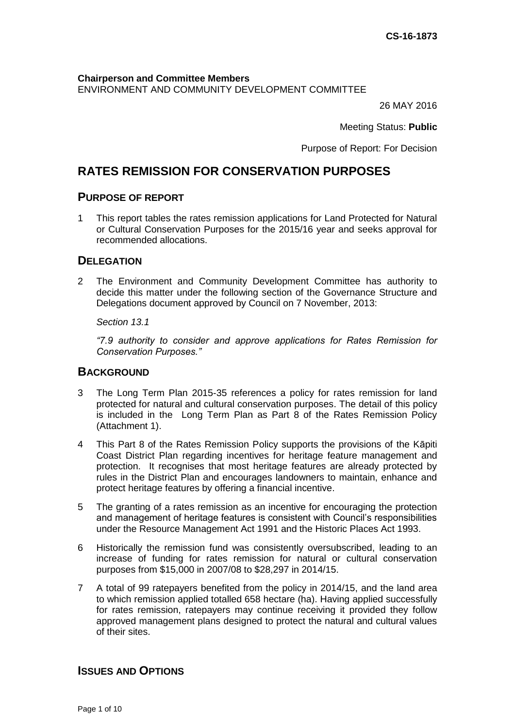**Chairperson and Committee Members** ENVIRONMENT AND COMMUNITY DEVELOPMENT COMMITTEE

26 MAY 2016

Meeting Status: **Public**

Purpose of Report: For Decision

# **RATES REMISSION FOR CONSERVATION PURPOSES**

## **PURPOSE OF REPORT**

1 This report tables the rates remission applications for Land Protected for Natural or Cultural Conservation Purposes for the 2015/16 year and seeks approval for recommended allocations.

## **DELEGATION**

2 The Environment and Community Development Committee has authority to decide this matter under the following section of the Governance Structure and Delegations document approved by Council on 7 November, 2013:

*Section 13.1*

*"7.9 authority to consider and approve applications for Rates Remission for Conservation Purposes."* 

## **BACKGROUND**

- 3 The Long Term Plan 2015-35 references a policy for rates remission for land protected for natural and cultural conservation purposes. The detail of this policy is included in the Long Term Plan as Part 8 of the Rates Remission Policy (Attachment 1).
- 4 This Part 8 of the Rates Remission Policy supports the provisions of the Kāpiti Coast District Plan regarding incentives for heritage feature management and protection. It recognises that most heritage features are already protected by rules in the District Plan and encourages landowners to maintain, enhance and protect heritage features by offering a financial incentive.
- 5 The granting of a rates remission as an incentive for encouraging the protection and management of heritage features is consistent with Council's responsibilities under the Resource Management Act 1991 and the Historic Places Act 1993.
- 6 Historically the remission fund was consistently oversubscribed, leading to an increase of funding for rates remission for natural or cultural conservation purposes from \$15,000 in 2007/08 to \$28,297 in 2014/15.
- 7 A total of 99 ratepayers benefited from the policy in 2014/15, and the land area to which remission applied totalled 658 hectare (ha). Having applied successfully for rates remission, ratepayers may continue receiving it provided they follow approved management plans designed to protect the natural and cultural values of their sites.

## **ISSUES AND OPTIONS**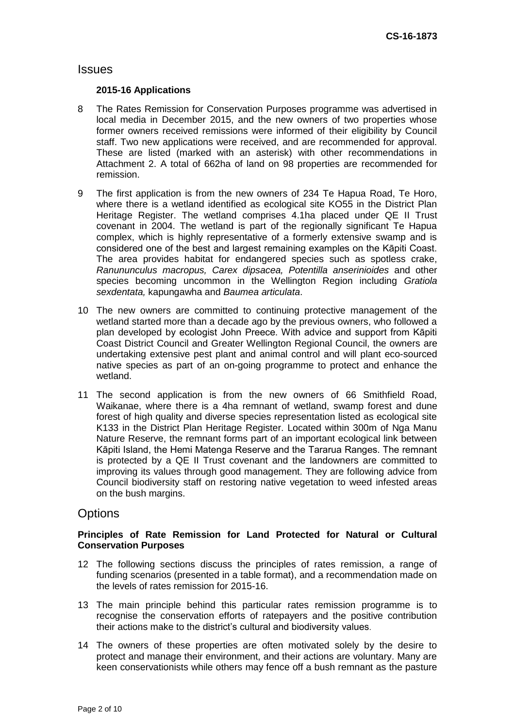## **Issues**

#### **2015-16 Applications**

- 8 The Rates Remission for Conservation Purposes programme was advertised in local media in December 2015, and the new owners of two properties whose former owners received remissions were informed of their eligibility by Council staff. Two new applications were received, and are recommended for approval. These are listed (marked with an asterisk) with other recommendations in Attachment 2. A total of 662ha of land on 98 properties are recommended for remission.
- 9 The first application is from the new owners of 234 Te Hapua Road, Te Horo, where there is a wetland identified as ecological site KO55 in the District Plan Heritage Register. The wetland comprises 4.1ha placed under QE II Trust covenant in 2004. The wetland is part of the regionally significant Te Hapua complex, which is highly representative of a formerly extensive swamp and is considered one of the best and largest remaining examples on the Kāpiti Coast. The area provides habitat for endangered species such as spotless crake, *Ranununculus macropus, Carex dipsacea, Potentilla anserinioides* and other species becoming uncommon in the Wellington Region including *Gratiola sexdentata,* kapungawha and *Baumea articulata*.
- 10 The new owners are committed to continuing protective management of the wetland started more than a decade ago by the previous owners, who followed a plan developed by ecologist John Preece. With advice and support from Kāpiti Coast District Council and Greater Wellington Regional Council, the owners are undertaking extensive pest plant and animal control and will plant eco-sourced native species as part of an on-going programme to protect and enhance the wetland.
- 11 The second application is from the new owners of 66 Smithfield Road, Waikanae, where there is a 4ha remnant of wetland, swamp forest and dune forest of high quality and diverse species representation listed as ecological site K133 in the District Plan Heritage Register. Located within 300m of Nga Manu Nature Reserve, the remnant forms part of an important ecological link between Kāpiti Island, the Hemi Matenga Reserve and the Tararua Ranges. The remnant is protected by a QE II Trust covenant and the landowners are committed to improving its values through good management. They are following advice from Council biodiversity staff on restoring native vegetation to weed infested areas on the bush margins.

## **Options**

#### **Principles of Rate Remission for Land Protected for Natural or Cultural Conservation Purposes**

- 12 The following sections discuss the principles of rates remission, a range of funding scenarios (presented in a table format), and a recommendation made on the levels of rates remission for 2015-16.
- 13 The main principle behind this particular rates remission programme is to recognise the conservation efforts of ratepayers and the positive contribution their actions make to the district's cultural and biodiversity values.
- 14 The owners of these properties are often motivated solely by the desire to protect and manage their environment, and their actions are voluntary. Many are keen conservationists while others may fence off a bush remnant as the pasture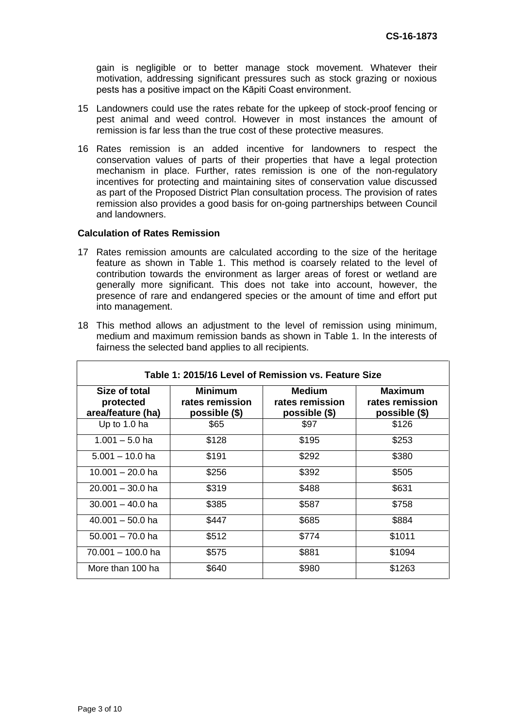gain is negligible or to better manage stock movement. Whatever their motivation, addressing significant pressures such as stock grazing or noxious pests has a positive impact on the Kāpiti Coast environment.

- 15 Landowners could use the rates rebate for the upkeep of stock-proof fencing or pest animal and weed control. However in most instances the amount of remission is far less than the true cost of these protective measures.
- 16 Rates remission is an added incentive for landowners to respect the conservation values of parts of their properties that have a legal protection mechanism in place. Further, rates remission is one of the non-regulatory incentives for protecting and maintaining sites of conservation value discussed as part of the Proposed District Plan consultation process. The provision of rates remission also provides a good basis for on-going partnerships between Council and landowners.

#### **Calculation of Rates Remission**

- 17 Rates remission amounts are calculated according to the size of the heritage feature as shown in Table 1. This method is coarsely related to the level of contribution towards the environment as larger areas of forest or wetland are generally more significant. This does not take into account, however, the presence of rare and endangered species or the amount of time and effort put into management.
- 18 This method allows an adjustment to the level of remission using minimum, medium and maximum remission bands as shown in Table 1. In the interests of fairness the selected band applies to all recipients.

| Table 1: 2015/16 Level of Remission vs. Feature Size |                                                    |                                                   |                                             |  |  |
|------------------------------------------------------|----------------------------------------------------|---------------------------------------------------|---------------------------------------------|--|--|
| Size of total<br>protected<br>area/feature (ha)      | <b>Minimum</b><br>rates remission<br>possible (\$) | <b>Medium</b><br>rates remission<br>possible (\$) | Maximum<br>rates remission<br>possible (\$) |  |  |
| Up to 1.0 ha                                         | \$65                                               | \$97                                              | \$126                                       |  |  |
| $1.001 - 5.0$ ha                                     | \$128                                              | \$195                                             | \$253                                       |  |  |
| $5.001 - 10.0$ ha                                    | \$191                                              | \$292                                             | \$380                                       |  |  |
| 10.001 – 20.0 ha                                     | \$256                                              | \$392                                             | \$505                                       |  |  |
| $20.001 - 30.0$ ha                                   | \$319                                              | \$488                                             | \$631                                       |  |  |
| $30.001 - 40.0$ ha                                   | \$385                                              | \$587                                             | \$758                                       |  |  |
| $40.001 - 50.0$ ha                                   | \$447                                              | \$685                                             | \$884                                       |  |  |
| $50.001 - 70.0$ ha                                   | \$512                                              | \$774                                             | \$1011                                      |  |  |
| 70.001 - 100.0 ha                                    | \$575                                              | \$881                                             | \$1094                                      |  |  |
| More than 100 ha                                     | \$640                                              | \$980                                             | \$1263                                      |  |  |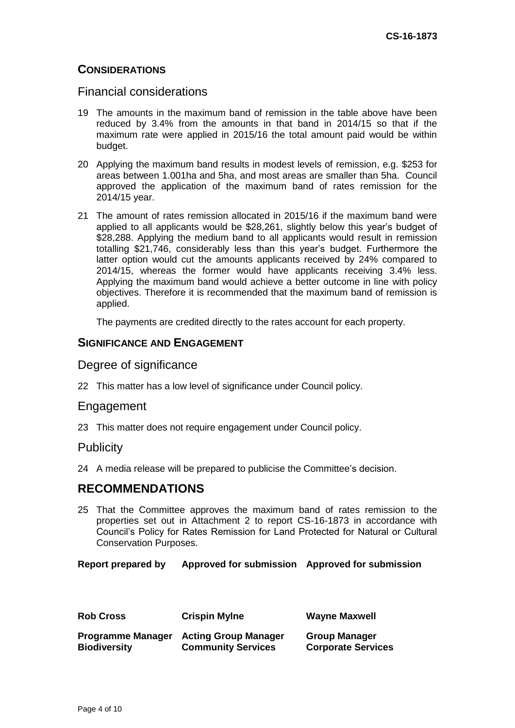# **CONSIDERATIONS**

## Financial considerations

- 19 The amounts in the maximum band of remission in the table above have been reduced by 3.4% from the amounts in that band in 2014/15 so that if the maximum rate were applied in 2015/16 the total amount paid would be within budget.
- 20 Applying the maximum band results in modest levels of remission, e.g. \$253 for areas between 1.001ha and 5ha, and most areas are smaller than 5ha. Council approved the application of the maximum band of rates remission for the 2014/15 year.
- 21 The amount of rates remission allocated in 2015/16 if the maximum band were applied to all applicants would be \$28,261, slightly below this year's budget of \$28,288. Applying the medium band to all applicants would result in remission totalling \$21,746, considerably less than this year's budget. Furthermore the latter option would cut the amounts applicants received by 24% compared to 2014/15, whereas the former would have applicants receiving 3.4% less. Applying the maximum band would achieve a better outcome in line with policy objectives. Therefore it is recommended that the maximum band of remission is applied.

The payments are credited directly to the rates account for each property.

## **SIGNIFICANCE AND ENGAGEMENT**

### Degree of significance

22 This matter has a low level of significance under Council policy.

#### Engagement

23 This matter does not require engagement under Council policy.

#### **Publicity**

24 A media release will be prepared to publicise the Committee's decision.

# **RECOMMENDATIONS**

25 That the Committee approves the maximum band of rates remission to the properties set out in Attachment 2 to report CS-16-1873 in accordance with Council's Policy for Rates Remission for Land Protected for Natural or Cultural Conservation Purposes.

#### **Report prepared by Approved for submission Approved for submission**

| <b>Rob Cross</b>         | <b>Crispin Mylne</b>        | <b>Wayne Maxwell</b>      |
|--------------------------|-----------------------------|---------------------------|
| <b>Programme Manager</b> | <b>Acting Group Manager</b> | <b>Group Manager</b>      |
| <b>Biodiversity</b>      | <b>Community Services</b>   | <b>Corporate Services</b> |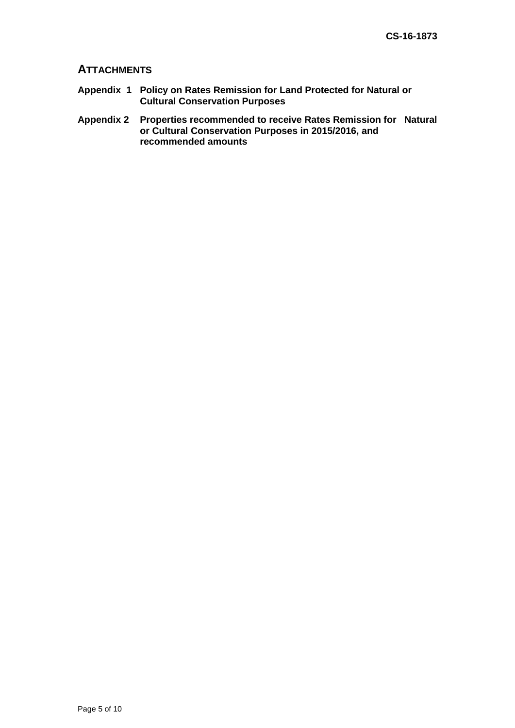## **ATTACHMENTS**

- **Appendix 1 Policy on Rates Remission for Land Protected for Natural or Cultural Conservation Purposes**
- **Appendix 2 Properties recommended to receive Rates Remission for Natural or Cultural Conservation Purposes in 2015/2016, and recommended amounts**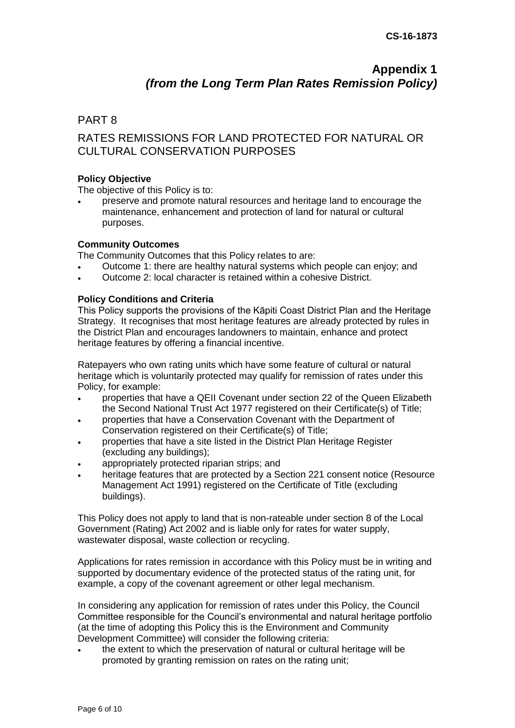# **Appendix 1**  *(from the Long Term Plan Rates Remission Policy)*

## PART 8

# RATES REMISSIONS FOR LAND PROTECTED FOR NATURAL OR CULTURAL CONSERVATION PURPOSES

#### **Policy Objective**

The objective of this Policy is to:

 preserve and promote natural resources and heritage land to encourage the maintenance, enhancement and protection of land for natural or cultural purposes.

#### **Community Outcomes**

The Community Outcomes that this Policy relates to are:

- Outcome 1: there are healthy natural systems which people can enjoy; and
- Outcome 2: local character is retained within a cohesive District.

#### **Policy Conditions and Criteria**

This Policy supports the provisions of the Kāpiti Coast District Plan and the Heritage Strategy. It recognises that most heritage features are already protected by rules in the District Plan and encourages landowners to maintain, enhance and protect heritage features by offering a financial incentive.

Ratepayers who own rating units which have some feature of cultural or natural heritage which is voluntarily protected may qualify for remission of rates under this Policy, for example:

- properties that have a QEII Covenant under section 22 of the Queen Elizabeth the Second National Trust Act 1977 registered on their Certificate(s) of Title;
- properties that have a Conservation Covenant with the Department of Conservation registered on their Certificate(s) of Title;
- properties that have a site listed in the District Plan Heritage Register (excluding any buildings);
- appropriately protected riparian strips; and
- heritage features that are protected by a Section 221 consent notice (Resource Management Act 1991) registered on the Certificate of Title (excluding buildings).

This Policy does not apply to land that is non-rateable under section 8 of the Local Government (Rating) Act 2002 and is liable only for rates for water supply, wastewater disposal, waste collection or recycling.

Applications for rates remission in accordance with this Policy must be in writing and supported by documentary evidence of the protected status of the rating unit, for example, a copy of the covenant agreement or other legal mechanism.

In considering any application for remission of rates under this Policy, the Council Committee responsible for the Council's environmental and natural heritage portfolio (at the time of adopting this Policy this is the Environment and Community Development Committee) will consider the following criteria:

 the extent to which the preservation of natural or cultural heritage will be promoted by granting remission on rates on the rating unit;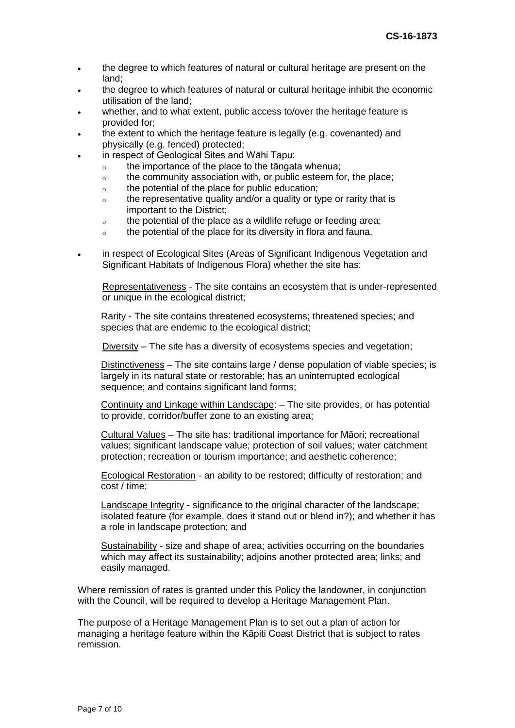- the degree to which features of natural or cultural heritage are present on the land;
- the degree to which features of natural or cultural heritage inhibit the economic utilisation of the land;
- whether, and to what extent, public access to/over the heritage feature is provided for;
- the extent to which the heritage feature is legally (e.g. covenanted) and physically (e.g. fenced) protected;
- in respect of Geological Sites and Wāhi Tapu:
	- o the importance of the place to the tāngata whenua;
	- $\circ$  the community association with, or public esteem for, the place;
	- o the potential of the place for public education;
	- $\circ$  the representative quality and/or a quality or type or rarity that is important to the District;
	- $\circ$  the potential of the place as a wildlife refuge or feeding area;
	- o the potential of the place for its diversity in flora and fauna.
- in respect of Ecological Sites (Areas of Significant Indigenous Vegetation and Significant Habitats of Indigenous Flora) whether the site has:

Representativeness - The site contains an ecosystem that is under-represented or unique in the ecological district;

Rarity - The site contains threatened ecosystems; threatened species; and species that are endemic to the ecological district;

Diversity – The site has a diversity of ecosystems species and vegetation;

Distinctiveness – The site contains large / dense population of viable species; is largely in its natural state or restorable; has an uninterrupted ecological sequence; and contains significant land forms;

Continuity and Linkage within Landscape: – The site provides, or has potential to provide, corridor/buffer zone to an existing area;

Cultural Values – The site has: traditional importance for Māori; recreational values; significant landscape value; protection of soil values; water catchment protection; recreation or tourism importance; and aesthetic coherence;

Ecological Restoration - an ability to be restored; difficulty of restoration; and cost / time;

Landscape Integrity - significance to the original character of the landscape; isolated feature (for example, does it stand out or blend in?); and whether it has a role in landscape protection; and

Sustainability - size and shape of area; activities occurring on the boundaries which may affect its sustainability; adjoins another protected area; links; and easily managed.

Where remission of rates is granted under this Policy the landowner, in conjunction with the Council, will be required to develop a Heritage Management Plan.

The purpose of a Heritage Management Plan is to set out a plan of action for managing a heritage feature within the Kāpiti Coast District that is subject to rates remission.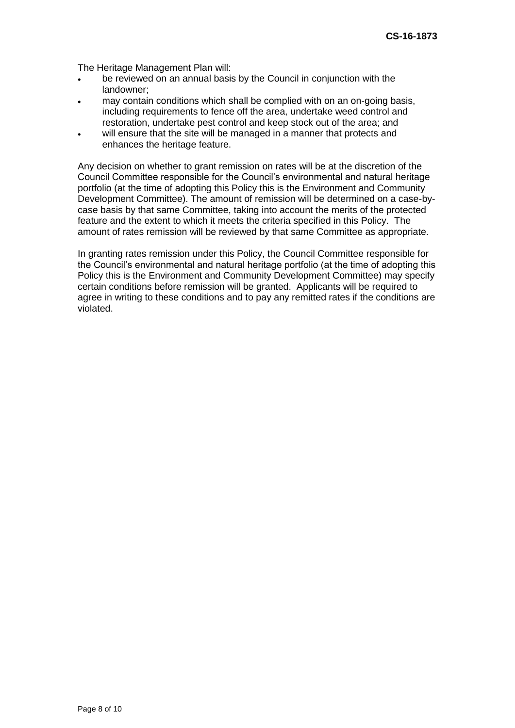The Heritage Management Plan will:

- be reviewed on an annual basis by the Council in conjunction with the landowner;
- may contain conditions which shall be complied with on an on-going basis, including requirements to fence off the area, undertake weed control and restoration, undertake pest control and keep stock out of the area; and
- will ensure that the site will be managed in a manner that protects and enhances the heritage feature.

Any decision on whether to grant remission on rates will be at the discretion of the Council Committee responsible for the Council's environmental and natural heritage portfolio (at the time of adopting this Policy this is the Environment and Community Development Committee). The amount of remission will be determined on a case-bycase basis by that same Committee, taking into account the merits of the protected feature and the extent to which it meets the criteria specified in this Policy. The amount of rates remission will be reviewed by that same Committee as appropriate.

In granting rates remission under this Policy, the Council Committee responsible for the Council's environmental and natural heritage portfolio (at the time of adopting this Policy this is the Environment and Community Development Committee) may specify certain conditions before remission will be granted. Applicants will be required to agree in writing to these conditions and to pay any remitted rates if the conditions are violated.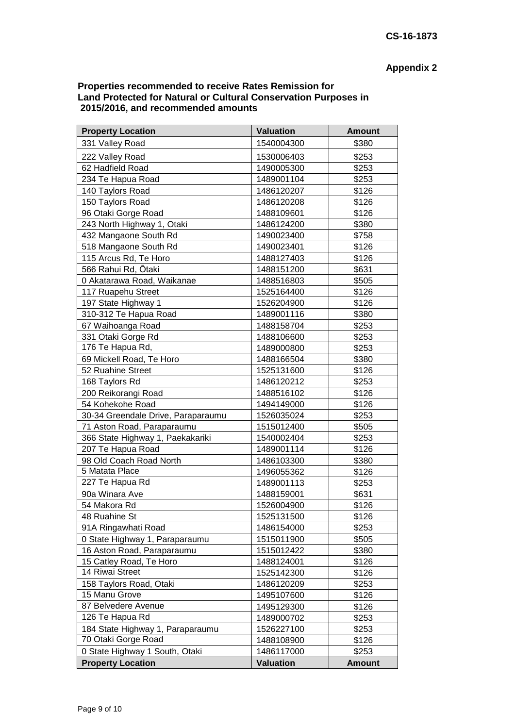# **Appendix 2**

#### **Properties recommended to receive Rates Remission for Land Protected for Natural or Cultural Conservation Purposes in 2015/2016, and recommended amounts**

| <b>Property Location</b>           | <b>Valuation</b> | <b>Amount</b> |
|------------------------------------|------------------|---------------|
| 331 Valley Road                    | 1540004300       | \$380         |
| 222 Valley Road                    | 1530006403       | \$253         |
| 62 Hadfield Road                   | 1490005300       | \$253         |
| 234 Te Hapua Road                  | 1489001104       | \$253         |
| 140 Taylors Road                   | 1486120207       | \$126         |
| 150 Taylors Road                   | 1486120208       | \$126         |
| 96 Otaki Gorge Road                | 1488109601       | \$126         |
| 243 North Highway 1, Otaki         | 1486124200       | \$380         |
| 432 Mangaone South Rd              | 1490023400       | \$758         |
| 518 Mangaone South Rd              | 1490023401       | \$126         |
| 115 Arcus Rd, Te Horo              | 1488127403       | \$126         |
| 566 Rahui Rd, Ōtaki                | 1488151200       | \$631         |
| 0 Akatarawa Road, Waikanae         | 1488516803       | \$505         |
| 117 Ruapehu Street                 | 1525164400       | \$126         |
| 197 State Highway 1                | 1526204900       | \$126         |
| 310-312 Te Hapua Road              | 1489001116       | \$380         |
| 67 Waihoanga Road                  | 1488158704       | \$253         |
| 331 Otaki Gorge Rd                 | 1488106600       | \$253         |
| 176 Te Hapua Rd,                   | 1489000800       | \$253         |
| 69 Mickell Road, Te Horo           | 1488166504       | \$380         |
| 52 Ruahine Street                  | 1525131600       | \$126         |
| 168 Taylors Rd                     | 1486120212       | \$253         |
| 200 Reikorangi Road                | 1488516102       | \$126         |
| 54 Kohekohe Road                   | 1494149000       | \$126         |
| 30-34 Greendale Drive, Paraparaumu | 1526035024       | \$253         |
| 71 Aston Road, Paraparaumu         | 1515012400       | \$505         |
| 366 State Highway 1, Paekakariki   | 1540002404       | \$253         |
| 207 Te Hapua Road                  | 1489001114       | \$126         |
| 98 Old Coach Road North            | 1486103300       | \$380         |
| 5 Matata Place                     | 1496055362       | \$126         |
| 227 Te Hapua Rd                    | 1489001113       | \$253         |
| 90a Winara Ave                     | 1488159001       | \$631         |
| 54 Makora Rd                       | 1526004900       | \$126         |
| 48 Ruahine St                      | 1525131500       | \$126         |
| 91A Ringawhati Road                | 1486154000       | \$253         |
| 0 State Highway 1, Paraparaumu     | 1515011900       | \$505         |
| 16 Aston Road, Paraparaumu         | 1515012422       | \$380         |
| 15 Catley Road, Te Horo            | 1488124001       | \$126         |
| 14 Riwai Street                    | 1525142300       | \$126         |
| 158 Taylors Road, Otaki            | 1486120209       | \$253         |
| 15 Manu Grove                      | 1495107600       | \$126         |
| 87 Belvedere Avenue                | 1495129300       | \$126         |
| 126 Te Hapua Rd                    | 1489000702       | \$253         |
| 184 State Highway 1, Paraparaumu   | 1526227100       | \$253         |
| 70 Otaki Gorge Road                | 1488108900       | \$126         |
| 0 State Highway 1 South, Otaki     | 1486117000       | \$253         |
| <b>Property Location</b>           | <b>Valuation</b> | <b>Amount</b> |